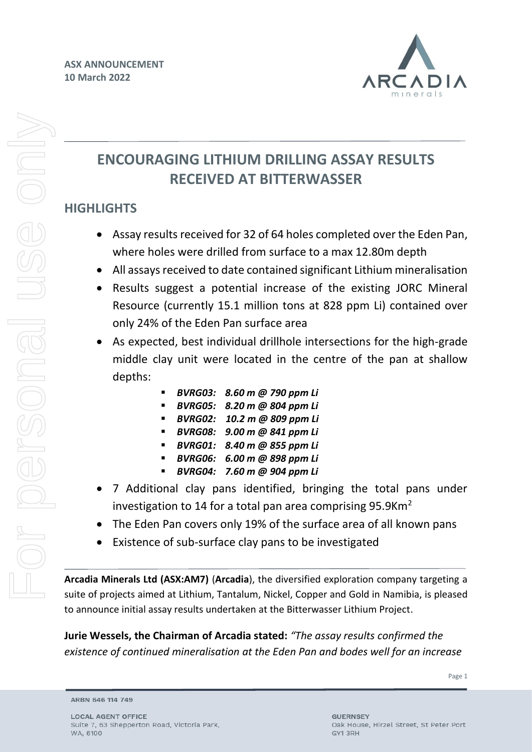

# **ENCOURAGING LITHIUM DRILLING ASSAY RESULTS RECEIVED AT BITTERWASSER**

# **HIGHLIGHTS**

For personal use only

**PSODE** 

e on

- Assay results received for 32 of 64 holes completed over the Eden Pan, where holes were drilled from surface to a max 12.80m depth
- All assays received to date contained significant Lithium mineralisation
- Results suggest a potential increase of the existing JORC Mineral Resource (currently 15.1 million tons at 828 ppm Li) contained over only 24% of the Eden Pan surface area
- As expected, best individual drillhole intersections for the high-grade middle clay unit were located in the centre of the pan at shallow depths:
	- *BVRG03: 8.60 m @ 790 ppm Li*
	- *BVRG05: 8.20 m @ 804 ppm Li*
	- *BVRG02: 10.2 m @ 809 ppm Li*
	- *BVRG08: 9.00 m @ 841 ppm Li*
	- *BVRG01: 8.40 m @ 855 ppm Li*
	- *BVRG06: 6.00 m @ 898 ppm Li*
	- *BVRG04: 7.60 m @ 904 ppm Li*
- 7 Additional clay pans identified, bringing the total pans under investigation to 14 for a total pan area comprising 95.9Km<sup>2</sup>
- The Eden Pan covers only 19% of the surface area of all known pans
- Existence of sub-surface clay pans to be investigated

**Arcadia Minerals Ltd (ASX:AM7)** (**Arcadia**), the diversified exploration company targeting a suite of projects aimed at Lithium, Tantalum, Nickel, Copper and Gold in Namibia, is pleased to announce initial assay results undertaken at the Bitterwasser Lithium Project.

**Jurie Wessels, the Chairman of Arcadia stated:** *"The assay results confirmed the existence of continued mineralisation at the Eden Pan and bodes well for an increase* 

Page 1

ARBN 646 114 749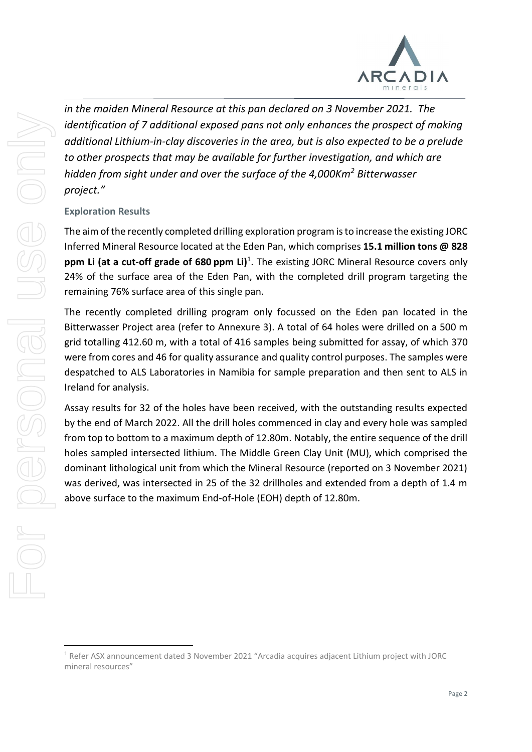

*in the maiden Mineral Resource at this pan declared on 3 November 2021. The identification of 7 additional exposed pans not only enhances the prospect of making additional Lithium-in-clay discoveries in the area, but is also expected to be a prelude to other prospects that may be available for further investigation, and which are hidden from sight under and over the surface of the 4,000Km<sup>2</sup> Bitterwasser project."* 

# **Exploration Results**

The aim of the recently completed drilling exploration program is to increase the existing JORC Inferred Mineral Resource located at the Eden Pan, which comprises **15.1 million tons @ 828 ppm Li (at a cut-off grade of 680 ppm Li)**<sup>1</sup> . The existing JORC Mineral Resource covers only 24% of the surface area of the Eden Pan, with the completed drill program targeting the remaining 76% surface area of this single pan.

The recently completed drilling program only focussed on the Eden pan located in the Bitterwasser Project area (refer to Annexure 3). A total of 64 holes were drilled on a 500 m grid totalling 412.60 m, with a total of 416 samples being submitted for assay, of which 370 were from cores and 46 for quality assurance and quality control purposes. The samples were despatched to ALS Laboratories in Namibia for sample preparation and then sent to ALS in Ireland for analysis.

Assay results for 32 of the holes have been received, with the outstanding results expected by the end of March 2022. All the drill holes commenced in clay and every hole was sampled from top to bottom to a maximum depth of 12.80m. Notably, the entire sequence of the drill holes sampled intersected lithium. The Middle Green Clay Unit (MU), which comprised the dominant lithological unit from which the Mineral Resource (reported on 3 November 2021) was derived, was intersected in 25 of the 32 drillholes and extended from a depth of 1.4 m above surface to the maximum End-of-Hole (EOH) depth of 12.80m.

<sup>1</sup> Refer ASX announcement dated 3 November 2021 "Arcadia acquires adjacent Lithium project with JORC mineral resources"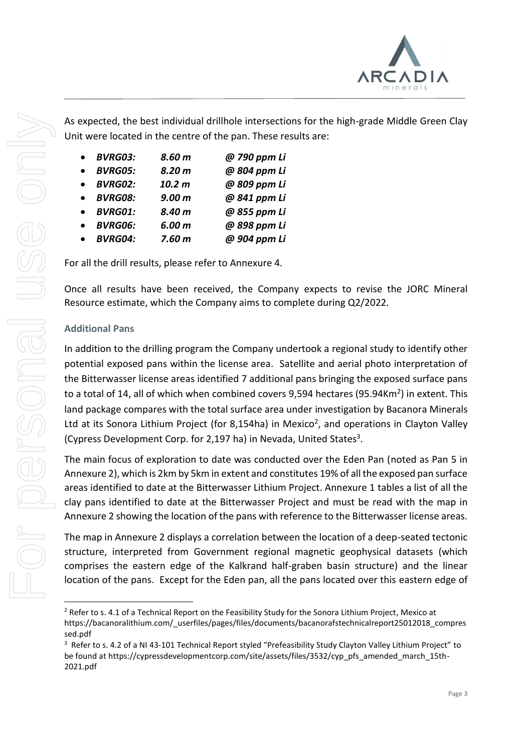

As expected, the best individual drillhole intersections for the high-grade Middle Green Clay Unit were located in the centre of the pan. These results are:

| <b>BVRG03:</b>    | 8.60 m            | @ 790 ppm Li |
|-------------------|-------------------|--------------|
| • BVRG05:         | 8.20 <sub>m</sub> | @ 804 ppm Li |
| $\bullet$ BVRG02: | 10.2 <sub>m</sub> | @ 809 ppm Li |
| • BVRG08:         | 9.00 <sub>m</sub> | @ 841 ppm Li |
| $\bullet$ BVRG01: | 8.40 m            | @ 855 ppm Li |
| $\bullet$ BVRG06: | 6.00 <sub>m</sub> | @ 898 ppm Li |
| $\bullet$ BVRG04: | 7.60 <sub>m</sub> | @ 904 ppm Li |

For all the drill results, please refer to Annexure 4.

Once all results have been received, the Company expects to revise the JORC Mineral Resource estimate, which the Company aims to complete during Q2/2022.

# **Additional Pans**

In addition to the drilling program the Company undertook a regional study to identify other potential exposed pans within the license area. Satellite and aerial photo interpretation of the Bitterwasser license areas identified 7 additional pans bringing the exposed surface pans to a total of 14, all of which when combined covers 9,594 hectares (95.94Km<sup>2</sup>) in extent. This land package compares with the total surface area under investigation by Bacanora Minerals Ltd at its Sonora Lithium Project (for 8,154ha) in Mexico<sup>2</sup>, and operations in Clayton Valley (Cypress Development Corp. for 2,197 ha) in Nevada, United States<sup>3</sup>.

The main focus of exploration to date was conducted over the Eden Pan (noted as Pan 5 in Annexure 2), which is 2km by 5km in extent and constitutes 19% of all the exposed pan surface areas identified to date at the Bitterwasser Lithium Project. Annexure 1 tables a list of all the clay pans identified to date at the Bitterwasser Project and must be read with the map in Annexure 2 showing the location of the pans with reference to the Bitterwasser license areas.

The map in Annexure 2 displays a correlation between the location of a deep-seated tectonic structure, interpreted from Government regional magnetic geophysical datasets (which comprises the eastern edge of the Kalkrand half-graben basin structure) and the linear location of the pans. Except for the Eden pan, all the pans located over this eastern edge of

<sup>&</sup>lt;sup>2</sup> Refer to s. 4.1 of a Technical Report on the Feasibility Study for the Sonora Lithium Project, Mexico at https://bacanoralithium.com/\_userfiles/pages/files/documents/bacanorafstechnicalreport25012018\_compres sed.pdf

<sup>&</sup>lt;sup>3</sup> Refer to s. 4.2 of a NI 43-101 Technical Report styled "Prefeasibility Study Clayton Valley Lithium Project" to be found at https://cypressdevelopmentcorp.com/site/assets/files/3532/cyp\_pfs\_amended\_march\_15th-2021.pdf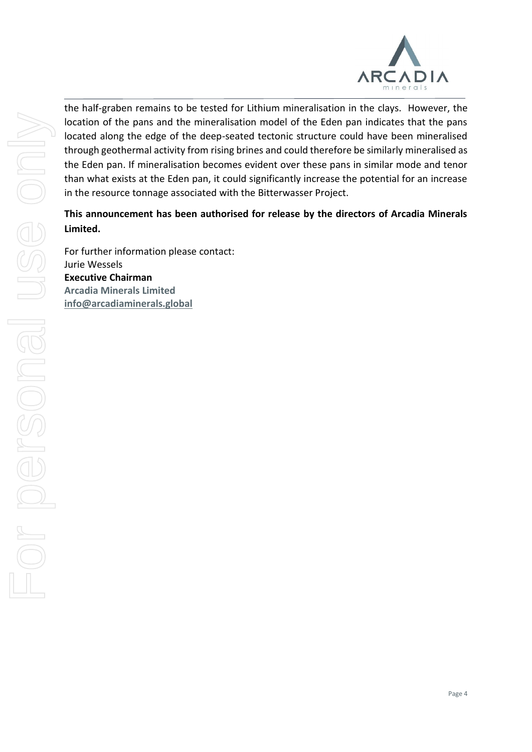

the half-graben remains to be tested for Lithium mineralisation in the clays. However, the location of the pans and the mineralisation model of the Eden pan indicates that the pans located along the edge of the deep-seated tectonic structure could have been mineralised through geothermal activity from rising brines and could therefore be similarly mineralised as the Eden pan. If mineralisation becomes evident over these pans in similar mode and tenor than what exists at the Eden pan, it could significantly increase the potential for an increase in the resource tonnage associated with the Bitterwasser Project.

**This announcement has been authorised for release by the directors of Arcadia Minerals Limited.**

For further information please contact: Jurie Wessels **Executive Chairman Arcadia Minerals Limited [info@arcadiaminerals.global](mailto:info@arcadiaminerals.global)**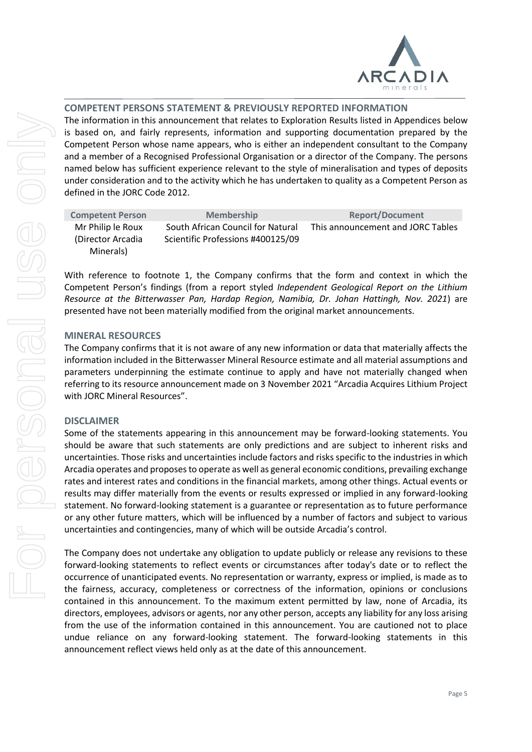

#### **COMPETENT PERSONS STATEMENT & PREVIOUSLY REPORTED INFORMATION**

The information in this announcement that relates to Exploration Results listed in Appendices below is based on, and fairly represents, information and supporting documentation prepared by the Competent Person whose name appears, who is either an independent consultant to the Company and a member of a Recognised Professional Organisation or a director of the Company. The persons named below has sufficient experience relevant to the style of mineralisation and types of deposits under consideration and to the activity which he has undertaken to quality as a Competent Person as defined in the JORC Code 2012.

| <b>Competent Person</b> | <b>Membership</b>                 | <b>Report/Document</b>            |
|-------------------------|-----------------------------------|-----------------------------------|
| Mr Philip le Roux       | South African Council for Natural | This announcement and JORC Tables |
| (Director Arcadia)      | Scientific Professions #400125/09 |                                   |
| Minerals)               |                                   |                                   |

With reference to footnote 1, the Company confirms that the form and context in which the Competent Person's findings (from a report styled *Independent Geological Report on the Lithium Resource at the Bitterwasser Pan, Hardap Region, Namibia, Dr. Johan Hattingh, Nov. 2021*) are presented have not been materially modified from the original market announcements.

#### **MINERAL RESOURCES**

The Company confirms that it is not aware of any new information or data that materially affects the information included in the Bitterwasser Mineral Resource estimate and all material assumptions and parameters underpinning the estimate continue to apply and have not materially changed when referring to its resource announcement made on 3 November 2021 "Arcadia Acquires Lithium Project with JORC Mineral Resources".

#### **DISCLAIMER**

Some of the statements appearing in this announcement may be forward-looking statements. You should be aware that such statements are only predictions and are subject to inherent risks and uncertainties. Those risks and uncertainties include factors and risks specific to the industries in which Arcadia operates and proposes to operate as well as general economic conditions, prevailing exchange rates and interest rates and conditions in the financial markets, among other things. Actual events or results may differ materially from the events or results expressed or implied in any forward-looking statement. No forward-looking statement is a guarantee or representation as to future performance or any other future matters, which will be influenced by a number of factors and subject to various uncertainties and contingencies, many of which will be outside Arcadia's control.

The Company does not undertake any obligation to update publicly or release any revisions to these forward-looking statements to reflect events or circumstances after today's date or to reflect the occurrence of unanticipated events. No representation or warranty, express or implied, is made as to the fairness, accuracy, completeness or correctness of the information, opinions or conclusions contained in this announcement. To the maximum extent permitted by law, none of Arcadia, its directors, employees, advisors or agents, nor any other person, accepts any liability for any loss arising from the use of the information contained in this announcement. You are cautioned not to place undue reliance on any forward-looking statement. The forward-looking statements in this announcement reflect views held only as at the date of this announcement.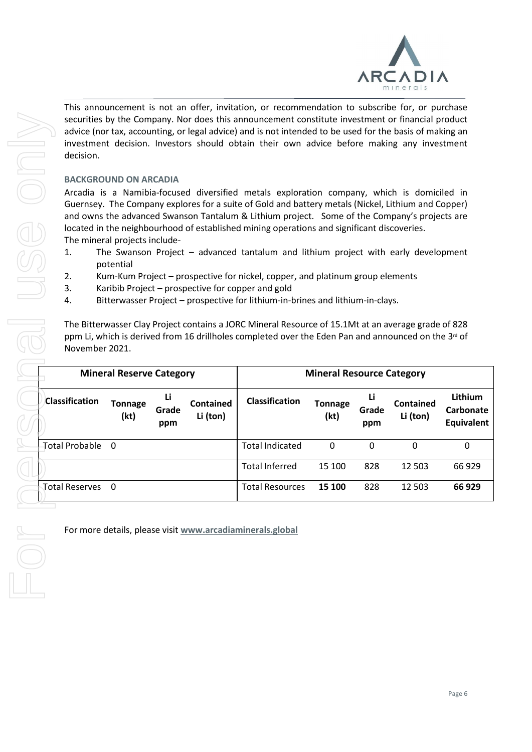

This announcement is not an offer, invitation, or recommendation to subscribe for, or purchase securities by the Company. Nor does this announcement constitute investment or financial product advice (nor tax, accounting, or legal advice) and is not intended to be used for the basis of making an investment decision. Investors should obtain their own advice before making any investment decision.

#### **BACKGROUND ON ARCADIA**

Arcadia is a Namibia-focused diversified metals exploration company, which is domiciled in Guernsey. The Company explores for a suite of Gold and battery metals (Nickel, Lithium and Copper) and owns the advanced Swanson Tantalum & Lithium project. Some of the Company's projects are located in the neighbourhood of established mining operations and significant discoveries. The mineral projects include-

- 1. The Swanson Project advanced tantalum and lithium project with early development potential
- 2. Kum-Kum Project prospective for nickel, copper, and platinum group elements
- 3. Karibib Project prospective for copper and gold
- 4. Bitterwasser Project prospective for lithium-in-brines and lithium-in-clays.

The Bitterwasser Clay Project contains a JORC Mineral Resource of 15.1Mt at an average grade of 828 ppm Li, which is derived from 16 drillholes completed over the Eden Pan and announced on the 3<sup>rd</sup> of November 2021.

| <b>Mineral Reserve Category</b> |                        |                    |                       | <b>Mineral Resource Category</b> |                        |                    |                       |                                                  |
|---------------------------------|------------------------|--------------------|-----------------------|----------------------------------|------------------------|--------------------|-----------------------|--------------------------------------------------|
| <b>Classification</b>           | <b>Tonnage</b><br>(kt) | Li<br>Grade<br>ppm | Contained<br>Li (ton) | <b>Classification</b>            | <b>Tonnage</b><br>(kt) | Li<br>Grade<br>ppm | Contained<br>Li (ton) | <b>Lithium</b><br>Carbonate<br><b>Equivalent</b> |
| Total Probable                  | - 0                    |                    |                       | <b>Total Indicated</b>           | 0                      | 0                  | 0                     | 0                                                |
|                                 |                        |                    |                       | <b>Total Inferred</b>            | 15 100                 | 828                | 12 503                | 66 929                                           |
| <b>Total Reserves</b>           | - 0                    |                    |                       | <b>Total Resources</b>           | 15 100                 | 828                | 12 503                | 66 929                                           |

For more details, please visit **[www.arcadiaminerals.global](http://www.arcadiaminerals.global/)**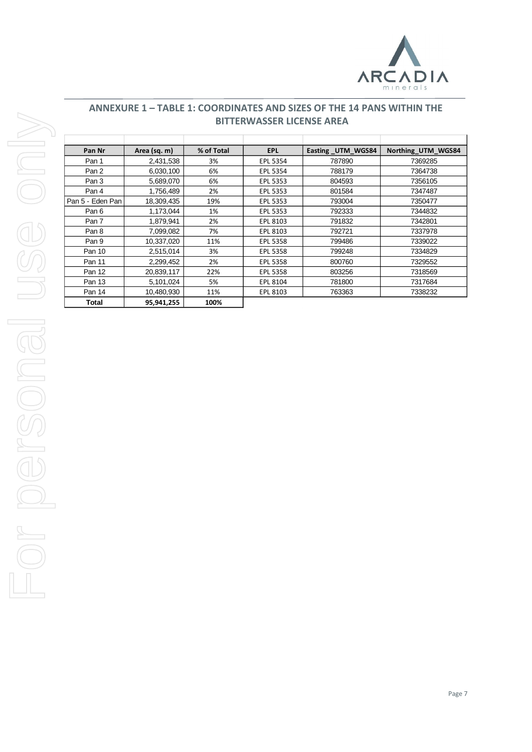

# **ANNEXURE 1 – TABLE 1: COORDINATES AND SIZES OF THE 14 PANS WITHIN THE BITTERWASSER LICENSE AREA**

| Pan Nr           | Area (sq. m) | % of Total | <b>EPL</b> | Easting_UTM_WGS84 | Northing UTM WGS84 |
|------------------|--------------|------------|------------|-------------------|--------------------|
| Pan 1            | 2,431,538    | 3%         | EPL 5354   | 787890            | 7369285            |
| Pan 2            | 6,030,100    | 6%         | EPL 5354   | 788179            | 7364738            |
| Pan 3            | 5,689,070    | 6%         | EPL 5353   | 804593            | 7356105            |
| Pan 4            | 1,756,489    | 2%         | EPL 5353   | 801584            | 7347487            |
| Pan 5 - Eden Pan | 18,309,435   | 19%        | EPL 5353   | 793004            | 7350477            |
| Pan 6            | 1,173,044    | 1%         | EPL 5353   | 792333            | 7344832            |
| Pan 7            | 1,879,941    | 2%         | EPL 8103   | 791832            | 7342801            |
| Pan 8            | 7,099,082    | 7%         | EPL 8103   | 792721            | 7337978            |
| Pan 9            | 10,337,020   | 11%        | EPL 5358   | 799486            | 7339022            |
| Pan 10           | 2,515,014    | 3%         | EPL 5358   | 799248            | 7334829            |
| Pan 11           | 2,299,452    | 2%         | EPL 5358   | 800760            | 7329552            |
| Pan 12           | 20,839,117   | 22%        | EPL 5358   | 803256            | 7318569            |
| Pan 13           | 5,101,024    | 5%         | EPL 8104   | 781800            | 7317684            |
| Pan 14           | 10,480,930   | 11%        | EPL 8103   | 763363            | 7338232            |
| Total            | 95,941,255   | 100%       |            |                   |                    |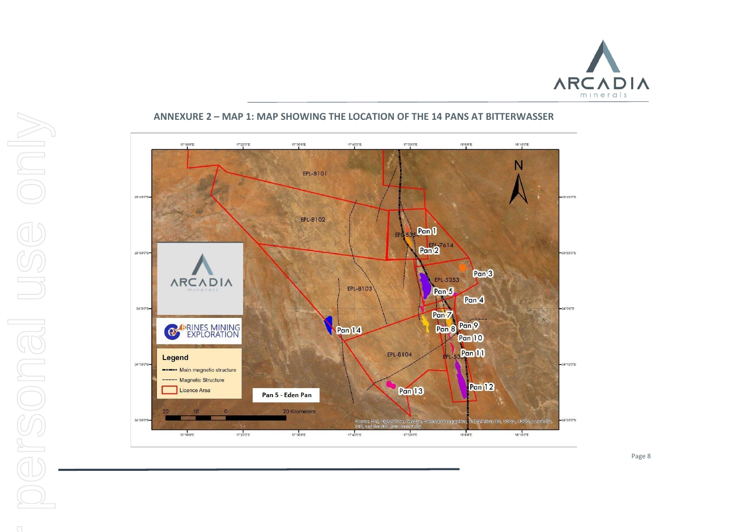



#### **ANNEXURE 2 – MAP 1: MAP SHOWING THE LOCATION OF THE 14 PANS AT BITTERWASSER**

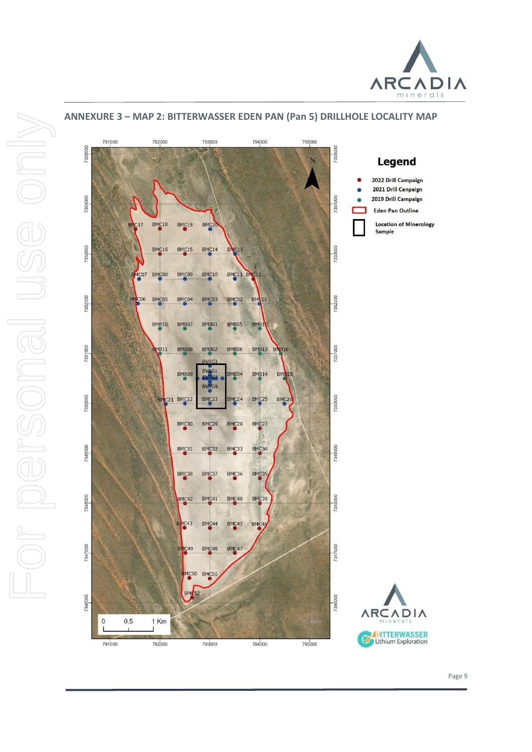



#### **ANNEXURE 3 – MAP 2: BITTERWASSER EDEN PAN (Pan 5) DRILLHOLE LOCALITY MAP**

794000

795000

793000

792000

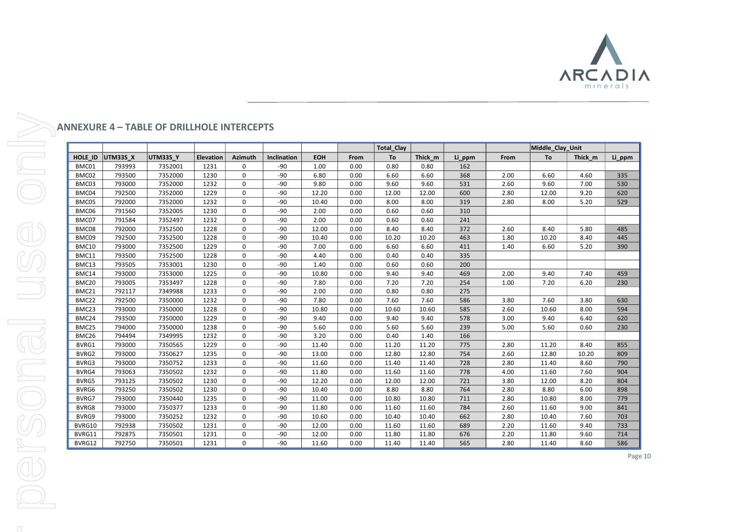

#### **ANNEXURE 4 – TABLE OF DRILLHOLE INTERCEPTS**

| HOLE ID |          |                 |           |             |             |            |      | <b>Total Clay</b> |         |        |      | Middle Clay Unit |         |
|---------|----------|-----------------|-----------|-------------|-------------|------------|------|-------------------|---------|--------|------|------------------|---------|
|         | UTM33S X | <b>UTM33S_Y</b> | Elevation | Azimuth     | Inclination | <b>EOH</b> | From | To                | Thick m | Li ppm | From | To               | Thick m |
| BMC01   | 793993   | 7352001         | 1231      | 0           | -90         | 1.00       | 0.00 | 0.80              | 0.80    | 162    |      |                  |         |
| BMC02   | 793500   | 7352000         | 1230      | 0           | $-90$       | 6.80       | 0.00 | 6.60              | 6.60    | 368    | 2.00 | 6.60             | 4.60    |
| BMC03   | 793000   | 7352000         | 1232      | $\mathbf 0$ | -90         | 9.80       | 0.00 | 9.60              | 9.60    | 531    | 2.60 | 9.60             | 7.00    |
| BMC04   | 792500   | 7352000         | 1229      | 0           | $-90$       | 12.20      | 0.00 | 12.00             | 12.00   | 600    | 2.80 | 12.00            | 9.20    |
| BMC05   | 792000   | 7352000         | 1232      | $\mathbf 0$ | $-90$       | 10.40      | 0.00 | 8.00              | 8.00    | 319    | 2.80 | 8.00             | 5.20    |
| BMC06   | 791560   | 7352005         | 1230      | $\mathbf 0$ | $-90$       | 2.00       | 0.00 | 0.60              | 0.60    | 310    |      |                  |         |
| BMC07   | 791584   | 7352497         | 1232      | 0           | $-90$       | 2.00       | 0.00 | 0.60              | 0.60    | 241    |      |                  |         |
| BMC08   | 792000   | 7352500         | 1228      | 0           | $-90$       | 12.00      | 0.00 | 8.40              | 8.40    | 372    | 2.60 | 8.40             | 5.80    |
| BMC09   | 792500   | 7352500         | 1228      | 0           | $-90$       | 10.40      | 0.00 | 10.20             | 10.20   | 463    | 1.80 | 10.20            | 8.40    |
| BMC10   | 793000   | 7352500         | 1229      | 0           | -90         | 7.00       | 0.00 | 6.60              | 6.60    | 411    | 1.40 | 6.60             | 5.20    |
| BMC11   | 793500   | 7352500         | 1228      | 0           | $-90$       | 4.40       | 0.00 | 0.40              | 0.40    | 335    |      |                  |         |
| BMC13   | 793505   | 7353001         | 1230      | 0           | $-90$       | 1.40       | 0.00 | 0.60              | 0.60    | 200    |      |                  |         |
| BMC14   | 793000   | 7353000         | 1225      | 0           | -90         | 10.80      | 0.00 | 9.40              | 9.40    | 469    | 2.00 | 9.40             | 7.40    |
| BMC20   | 793005   | 7353497         | 1228      | 0           | $-90$       | 7.80       | 0.00 | 7.20              | 7.20    | 254    | 1.00 | 7.20             | 6.20    |
| BMC21   | 792117   | 7349988         | 1233      | $\mathbf 0$ | $-90$       | 2.00       | 0.00 | 0.80              | 0.80    | 275    |      |                  |         |
| BMC22   | 792500   | 7350000         | 1232      | 0           | $-90$       | 7.80       | 0.00 | 7.60              | 7.60    | 586    | 3.80 | 7.60             | 3.80    |
| BMC23   | 793000   | 7350000         | 1228      | $\mathbf 0$ | $-90$       | 10.80      | 0.00 | 10.60             | 10.60   | 585    | 2.60 | 10.60            | 8.00    |
| BMC24   | 793500   | 7350000         | 1229      | $\mathbf 0$ | -90         | 9.40       | 0.00 | 9.40              | 9.40    | 578    | 3.00 | 9.40             | 6.40    |
| BMC25   | 794000   | 7350000         | 1238      | 0           | $-90$       | 5.60       | 0.00 | 5.60              | 5.60    | 239    | 5.00 | 5.60             | 0.60    |
| BMC26   | 794494   | 7349995         | 1232      | 0           | $-90$       | 3.20       | 0.00 | 0.40              | 1.40    | 166    |      |                  |         |
| BVRG1   | 793000   | 7350565         | 1229      | $\mathbf 0$ | $-90$       | 11.40      | 0.00 | 11.20             | 11.20   | 775    | 2.80 | 11.20            | 8.40    |
| BVRG2   | 793000   | 7350627         | 1235      | 0           | $-90$       | 13.00      | 0.00 | 12.80             | 12.80   | 754    | 2.60 | 12.80            | 10.20   |
| BVRG3   | 793000   | 7350752         | 1233      | 0           | $-90$       | 11.60      | 0.00 | 11.40             | 11.40   | 728    | 2.80 | 11.40            | 8.60    |
| BVRG4   | 793063   | 7350502         | 1232      | 0           | $-90$       | 11.80      | 0.00 | 11.60             | 11.60   | 778    | 4.00 | 11.60            | 7.60    |
| BVRG5   | 793125   | 7350502         | 1230      | 0           | -90         | 12.20      | 0.00 | 12.00             | 12.00   | 721    | 3.80 | 12.00            | 8.20    |
| BVRG6   | 793250   | 7350502         | 1230      | 0           | $-90$       | 10.40      | 0.00 | 8.80              | 8.80    | 764    | 2.80 | 8.80             | 6.00    |
| BVRG7   | 793000   | 7350440         | 1235      | $\mathbf 0$ | $-90$       | 11.00      | 0.00 | 10.80             | 10.80   | 711    | 2.80 | 10.80            | 8.00    |
| BVRG8   | 793000   | 7350377         | 1233      | 0           | $-90$       | 11.80      | 0.00 | 11.60             | 11.60   | 784    | 2.60 | 11.60            | 9.00    |
| BVRG9   | 793000   | 7350252         | 1232      | 0           | -90         | 10.60      | 0.00 | 10.40             | 10.40   | 662    | 2.80 | 10.40            | 7.60    |
| BVRG10  | 792938   | 7350502         | 1231      | $\mathbf 0$ | -90         | 12.00      | 0.00 | 11.60             | 11.60   | 689    | 2.20 | 11.60            | 9.40    |
| BVRG11  | 792875   | 7350501         | 1231      | 0           | -90         | 12.00      | 0.00 | 11.80             | 11.80   | 676    | 2.20 | 11.80            | 9.60    |
| BVRG12  | 792750   | 7350501         | 1231      | 0           | $-90$       | 11.60      | 0.00 | 11.40             | 11.40   | 565    | 2.80 | 11.40            | 8.60    |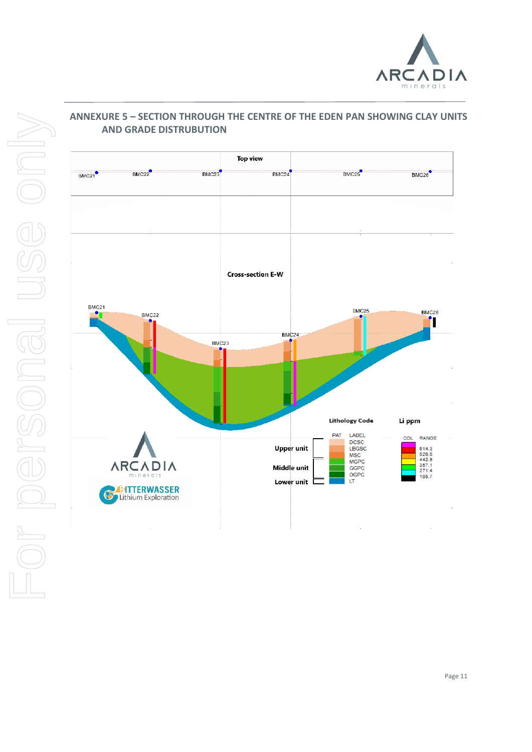



# **ANNEXURE 5 – SECTION THROUGH THE CENTRE OF THE EDEN PAN SHOWING CLAY UNITS AND GRADE DISTRUBUTION**



 $\alpha$ 

 $\lambda_{\rm c}$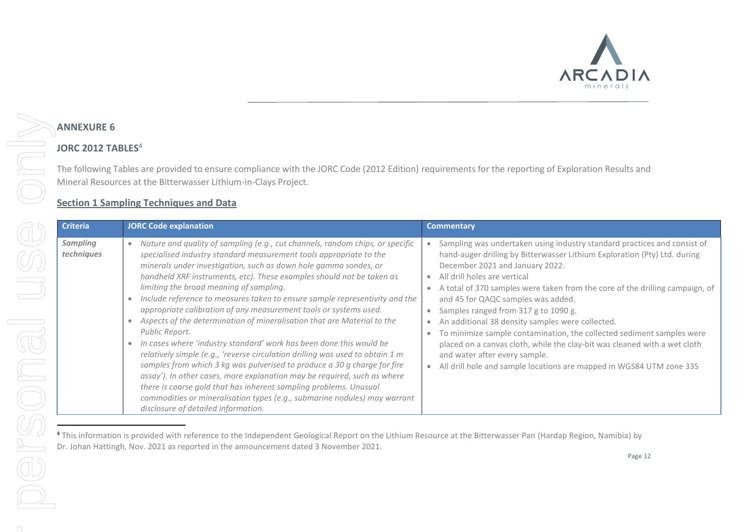

# **ANNEXURE 6**

# **JORC 2012 TABLES**<sup>4</sup>

The following Tables are provided to ensure compliance with the JORC Code (2012 Edition) requirements for the reporting of Exploration Results and Mineral Resources at the Bitterwasser Lithium-in-Clays Project.

# **Section 1 Sampling Techniques and Data**

| <b>Criteria</b>        | <b>JORC Code explanation</b>                                                                                                                                                                                                                                                                                                                                                                                                                                                                                                                                                                                                                                                                                                                                                                                                                                                                                                                                                                                                                                                                          | <b>Commentary</b>                                                                                                                                                                                                                                                                                                                                                                                                                                                                                                                                                                                                                                                                                                                                                          |
|------------------------|-------------------------------------------------------------------------------------------------------------------------------------------------------------------------------------------------------------------------------------------------------------------------------------------------------------------------------------------------------------------------------------------------------------------------------------------------------------------------------------------------------------------------------------------------------------------------------------------------------------------------------------------------------------------------------------------------------------------------------------------------------------------------------------------------------------------------------------------------------------------------------------------------------------------------------------------------------------------------------------------------------------------------------------------------------------------------------------------------------|----------------------------------------------------------------------------------------------------------------------------------------------------------------------------------------------------------------------------------------------------------------------------------------------------------------------------------------------------------------------------------------------------------------------------------------------------------------------------------------------------------------------------------------------------------------------------------------------------------------------------------------------------------------------------------------------------------------------------------------------------------------------------|
| Sampling<br>techniques | Nature and quality of sampling (e.g., cut channels, random chips, or specific<br>specialised industry standard measurement tools appropriate to the<br>minerals under investigation, such as down hole gamma sondes, or<br>handheld XRF instruments, etc). These examples should not be taken as<br>limiting the broad meaning of sampling.<br>Include reference to measures taken to ensure sample representivity and the<br>appropriate calibration of any measurement tools or systems used.<br>Aspects of the determination of mineralisation that are Material to the<br>Public Report.<br>In cases where 'industry standard' work has been done this would be<br>relatively simple (e.g., 'reverse circulation drilling was used to obtain 1 m<br>samples from which 3 kg was pulverised to produce a 30 g charge for fire<br>assay'). In other cases, more explanation may be required, such as where<br>there is coarse gold that has inherent sampling problems. Unusual<br>commodities or mineralisation types (e.g., submarine nodules) may warrant<br>disclosure of detailed information. | Sampling was undertaken using industry standard practices and consist of<br>hand-auger drilling by Bitterwasser Lithium Exploration (Pty) Ltd. during<br>December 2021 and January 2022.<br>All drill holes are vertical<br>$\bullet$<br>A total of 370 samples were taken from the core of the drilling campaign, of<br>$\bullet$<br>and 45 for QAQC samples was added.<br>Samples ranged from 317 g to 1090 g.<br>$\bullet$<br>An additional 38 density samples were collected.<br>$\bullet$<br>To minimize sample contamination, the collected sediment samples were<br>$\bullet$<br>placed on a canvas cloth, while the clay-bit was cleaned with a wet cloth<br>and water after every sample.<br>All drill hole and sample locations are mapped in WGS84 UTM zone 33S |

<sup>&</sup>lt;sup>4</sup> This information is provided with reference to the Independent Geological Report on the Lithium Resource at the Bitterwasser Pan (Hardap Region, Namibia) by Dr. Johan Hattingh, Nov. 2021 as reported in the announcement dated 3 November 2021.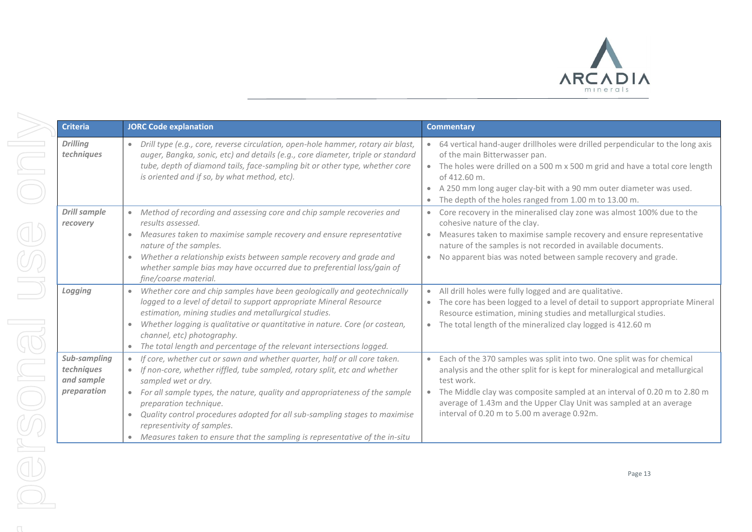

| <b>Criteria</b>                                         | <b>JORC Code explanation</b>                                                                                                                                                                                                                                                                                                                                                                                                                                                        | <b>Commentary</b>                                                                                                                                                                                                                                                                                                                                                        |
|---------------------------------------------------------|-------------------------------------------------------------------------------------------------------------------------------------------------------------------------------------------------------------------------------------------------------------------------------------------------------------------------------------------------------------------------------------------------------------------------------------------------------------------------------------|--------------------------------------------------------------------------------------------------------------------------------------------------------------------------------------------------------------------------------------------------------------------------------------------------------------------------------------------------------------------------|
| <b>Drilling</b><br>techniques                           | Drill type (e.g., core, reverse circulation, open-hole hammer, rotary air blast,<br>$\bullet$<br>auger, Bangka, sonic, etc) and details (e.g., core diameter, triple or standard<br>tube, depth of diamond tails, face-sampling bit or other type, whether core<br>is oriented and if so, by what method, etc).                                                                                                                                                                     | • 64 vertical hand-auger drillholes were drilled perpendicular to the long axis<br>of the main Bitterwasser pan.<br>The holes were drilled on a 500 m x 500 m grid and have a total core length<br>$\bullet$<br>of 412.60 m.<br>A 250 mm long auger clay-bit with a 90 mm outer diameter was used.<br>$\bullet$<br>The depth of the holes ranged from 1.00 m to 13.00 m. |
| <b>Drill sample</b><br>recovery                         | Method of recording and assessing core and chip sample recoveries and<br>results assessed.<br>• Measures taken to maximise sample recovery and ensure representative<br>nature of the samples.<br>Whether a relationship exists between sample recovery and grade and<br>$\bullet$<br>whether sample bias may have occurred due to preferential loss/gain of<br>fine/coarse material.                                                                                               | Core recovery in the mineralised clay zone was almost 100% due to the<br>$\bullet$<br>cohesive nature of the clay.<br>Measures taken to maximise sample recovery and ensure representative<br>$\bullet$<br>nature of the samples is not recorded in available documents.<br>No apparent bias was noted between sample recovery and grade.<br>$\bullet$                   |
| Logging                                                 | Whether core and chip samples have been geologically and geotechnically<br>$\bullet$<br>logged to a level of detail to support appropriate Mineral Resource<br>estimation, mining studies and metallurgical studies.<br>Whether logging is qualitative or quantitative in nature. Core (or costean,<br>channel, etc) photography.<br>The total length and percentage of the relevant intersections logged.                                                                          | All drill holes were fully logged and are qualitative.<br>$\bullet$<br>The core has been logged to a level of detail to support appropriate Mineral<br>Resource estimation, mining studies and metallurgical studies.<br>• The total length of the mineralized clay logged is 412.60 m                                                                                   |
| Sub-sampling<br>techniques<br>and sample<br>preparation | If core, whether cut or sawn and whether quarter, half or all core taken.<br>If non-core, whether riffled, tube sampled, rotary split, etc and whether<br>sampled wet or dry.<br>• For all sample types, the nature, quality and appropriateness of the sample<br>preparation technique.<br>Quality control procedures adopted for all sub-sampling stages to maximise<br>representivity of samples.<br>Measures taken to ensure that the sampling is representative of the in-situ | Each of the 370 samples was split into two. One split was for chemical<br>analysis and the other split for is kept for mineralogical and metallurgical<br>test work.<br>The Middle clay was composite sampled at an interval of 0.20 m to 2.80 m<br>average of 1.43m and the Upper Clay Unit was sampled at an average<br>interval of 0.20 m to 5.00 m average 0.92m.    |

 $\cap$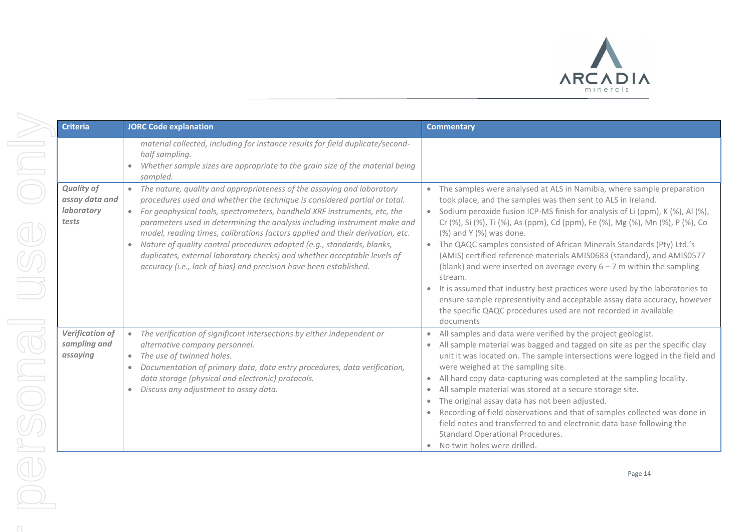

| <b>Criteria</b>                                            | <b>JORC Code explanation</b>                                                                                                                                                                                                                                                                                                                                                                                                                                                                                                                                                                                                                                     | <b>Commentary</b>                                                                                                                                                                                                                                                                                                                                                                                                                                                                                                                                                                                                                                                                                                                                                                                                             |
|------------------------------------------------------------|------------------------------------------------------------------------------------------------------------------------------------------------------------------------------------------------------------------------------------------------------------------------------------------------------------------------------------------------------------------------------------------------------------------------------------------------------------------------------------------------------------------------------------------------------------------------------------------------------------------------------------------------------------------|-------------------------------------------------------------------------------------------------------------------------------------------------------------------------------------------------------------------------------------------------------------------------------------------------------------------------------------------------------------------------------------------------------------------------------------------------------------------------------------------------------------------------------------------------------------------------------------------------------------------------------------------------------------------------------------------------------------------------------------------------------------------------------------------------------------------------------|
|                                                            | material collected, including for instance results for field duplicate/second-<br>half sampling.<br>Whether sample sizes are appropriate to the grain size of the material being<br>sampled.                                                                                                                                                                                                                                                                                                                                                                                                                                                                     |                                                                                                                                                                                                                                                                                                                                                                                                                                                                                                                                                                                                                                                                                                                                                                                                                               |
| <b>Quality of</b><br>assay data and<br>laboratory<br>tests | The nature, quality and appropriateness of the assaying and laboratory<br>$\bullet$<br>procedures used and whether the technique is considered partial or total.<br>For geophysical tools, spectrometers, handheld XRF instruments, etc, the<br>$\bullet$<br>parameters used in determining the analysis including instrument make and<br>model, reading times, calibrations factors applied and their derivation, etc.<br>Nature of quality control procedures adopted (e.g., standards, blanks,<br>$\bullet$<br>duplicates, external laboratory checks) and whether acceptable levels of<br>accuracy (i.e., lack of bias) and precision have been established. | The samples were analysed at ALS in Namibia, where sample preparation<br>took place, and the samples was then sent to ALS in Ireland.<br>Sodium peroxide fusion ICP-MS finish for analysis of Li (ppm), K (%), Al (%),<br>Cr (%), Si (%), Ti (%), As (ppm), Cd (ppm), Fe (%), Mg (%), Mn (%), P (%), Co<br>$(\%)$ and Y $(\%)$ was done.<br>The QAQC samples consisted of African Minerals Standards (Pty) Ltd.'s<br>(AMIS) certified reference materials AMIS0683 (standard), and AMIS0577<br>(blank) and were inserted on average every $6 - 7$ m within the sampling<br>stream.<br>It is assumed that industry best practices were used by the laboratories to<br>ensure sample representivity and acceptable assay data accuracy, however<br>the specific QAQC procedures used are not recorded in available<br>documents |
| Verification of<br>sampling and<br>assaying                | The verification of significant intersections by either independent or<br>$\bullet$<br>alternative company personnel.<br>The use of twinned holes.<br>$\bullet$<br>Documentation of primary data, data entry procedures, data verification,<br>data storage (physical and electronic) protocols.<br>Discuss any adjustment to assay data.                                                                                                                                                                                                                                                                                                                        | All samples and data were verified by the project geologist.<br>All sample material was bagged and tagged on site as per the specific clay<br>unit it was located on. The sample intersections were logged in the field and<br>were weighed at the sampling site.<br>All hard copy data-capturing was completed at the sampling locality.<br>All sample material was stored at a secure storage site.<br>The original assay data has not been adjusted.<br>Recording of field observations and that of samples collected was done in<br>field notes and transferred to and electronic data base following the<br><b>Standard Operational Procedures.</b><br>No twin holes were drilled.                                                                                                                                       |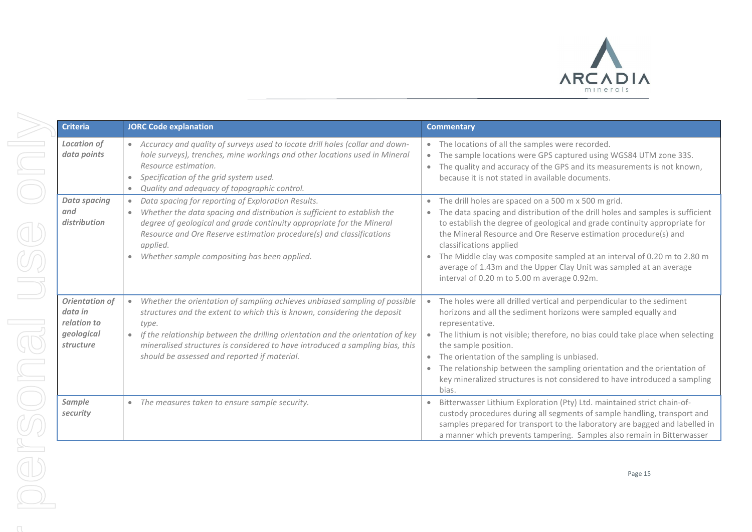

| <b>Criteria</b>                                                            | <b>JORC Code explanation</b>                                                                                                                                                                                                                                                                                                                                                         | <b>Commentary</b>                                                                                                                                                                                                                                                                                                                                                                                                                                                                                                                                          |
|----------------------------------------------------------------------------|--------------------------------------------------------------------------------------------------------------------------------------------------------------------------------------------------------------------------------------------------------------------------------------------------------------------------------------------------------------------------------------|------------------------------------------------------------------------------------------------------------------------------------------------------------------------------------------------------------------------------------------------------------------------------------------------------------------------------------------------------------------------------------------------------------------------------------------------------------------------------------------------------------------------------------------------------------|
| <b>Location of</b><br>data points                                          | • Accuracy and quality of surveys used to locate drill holes (collar and down-<br>hole surveys), trenches, mine workings and other locations used in Mineral<br>Resource estimation.<br>Specification of the grid system used.<br>Quality and adequacy of topographic control.                                                                                                       | The locations of all the samples were recorded.<br>$\bullet$<br>The sample locations were GPS captured using WGS84 UTM zone 33S.<br>$\bullet$<br>The quality and accuracy of the GPS and its measurements is not known,<br>$\bullet$<br>because it is not stated in available documents.                                                                                                                                                                                                                                                                   |
| <b>Data spacing</b><br>and<br>distribution                                 | Data spacing for reporting of Exploration Results.<br>Whether the data spacing and distribution is sufficient to establish the<br>degree of geological and grade continuity appropriate for the Mineral<br>Resource and Ore Reserve estimation procedure(s) and classifications<br>applied.<br>Whether sample compositing has been applied.                                          | The drill holes are spaced on a 500 m x 500 m grid.<br>$\bullet$<br>The data spacing and distribution of the drill holes and samples is sufficient<br>$\bullet$<br>to establish the degree of geological and grade continuity appropriate for<br>the Mineral Resource and Ore Reserve estimation procedure(s) and<br>classifications applied<br>The Middle clay was composite sampled at an interval of 0.20 m to 2.80 m<br>$\bullet$<br>average of 1.43m and the Upper Clay Unit was sampled at an average<br>interval of 0.20 m to 5.00 m average 0.92m. |
| <b>Orientation of</b><br>data in<br>relation to<br>geological<br>structure | Whether the orientation of sampling achieves unbiased sampling of possible<br>structures and the extent to which this is known, considering the deposit<br>type.<br>If the relationship between the drilling orientation and the orientation of key<br>mineralised structures is considered to have introduced a sampling bias, this<br>should be assessed and reported if material. | The holes were all drilled vertical and perpendicular to the sediment<br>horizons and all the sediment horizons were sampled equally and<br>representative.<br>The lithium is not visible; therefore, no bias could take place when selecting<br>the sample position.<br>The orientation of the sampling is unbiased.<br>$\bullet$<br>The relationship between the sampling orientation and the orientation of<br>$\bullet$<br>key mineralized structures is not considered to have introduced a sampling<br>bias.                                         |
| Sample<br>security                                                         | • The measures taken to ensure sample security.                                                                                                                                                                                                                                                                                                                                      | Bitterwasser Lithium Exploration (Pty) Ltd. maintained strict chain-of-<br>$\bullet$<br>custody procedures during all segments of sample handling, transport and<br>samples prepared for transport to the laboratory are bagged and labelled in<br>a manner which prevents tampering. Samples also remain in Bitterwasser                                                                                                                                                                                                                                  |

 $\cap$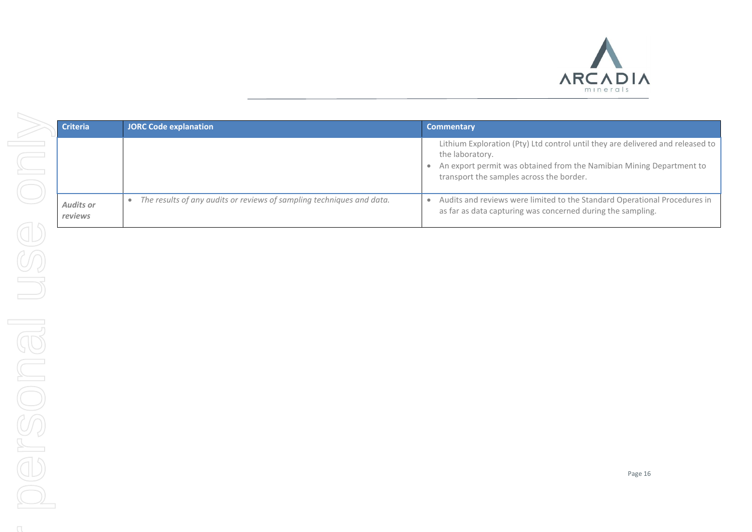

| <b>Criteria</b> | <b>JORC Co</b>       |
|-----------------|----------------------|
|                 |                      |
|                 |                      |
|                 |                      |
|                 |                      |
|                 |                      |
|                 | The r<br>$\bullet$   |
|                 |                      |
|                 |                      |
|                 |                      |
|                 |                      |
|                 |                      |
|                 |                      |
|                 |                      |
|                 |                      |
|                 |                      |
|                 |                      |
|                 |                      |
|                 |                      |
|                 |                      |
|                 |                      |
|                 |                      |
|                 |                      |
|                 |                      |
|                 |                      |
|                 |                      |
|                 |                      |
|                 |                      |
|                 |                      |
|                 |                      |
|                 |                      |
|                 |                      |
|                 |                      |
|                 |                      |
|                 | Audits or<br>reviews |

| <b>Criteria</b>      | <b>JORC Code explanation</b>                                          | <b>Commentary</b>                                                                                                                                                                                                                  |
|----------------------|-----------------------------------------------------------------------|------------------------------------------------------------------------------------------------------------------------------------------------------------------------------------------------------------------------------------|
|                      |                                                                       | Lithium Exploration (Pty) Ltd control until they are delivered and released to<br>the laboratory.<br>An export permit was obtained from the Namibian Mining Department to<br>$\bullet$<br>transport the samples across the border. |
| Audits or<br>reviews | The results of any audits or reviews of sampling techniques and data. | Audits and reviews were limited to the Standard Operational Procedures in<br>$\bullet$<br>as far as data capturing was concerned during the sampling.                                                                              |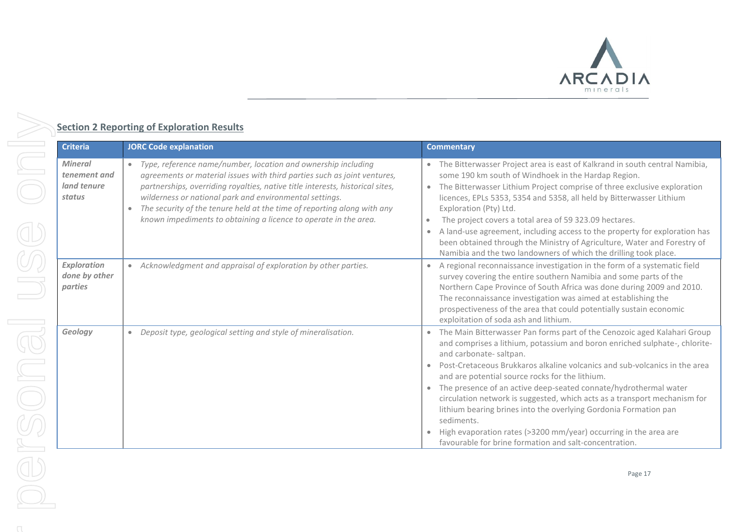

# **Section 2 Reporting of Exploration Results**

| <b>Mineral</b><br>• Type, reference name/number, location and ownership including<br>tenement and<br>agreements or material issues with third parties such as joint ventures,<br>some 190 km south of Windhoek in the Hardap Region.<br>land tenure<br>partnerships, overriding royalties, native title interests, historical sites,<br>wilderness or national park and environmental settings.<br>status<br>The security of the tenure held at the time of reporting along with any<br>Exploration (Pty) Ltd.<br>$\bullet$<br>known impediments to obtaining a licence to operate in the area.<br>The project covers a total area of 59 323.09 hectares.<br>$\bullet$<br>Namibia and the two landowners of which the drilling took place.<br><b>Exploration</b><br>• Acknowledgment and appraisal of exploration by other parties.<br>$\bullet$<br>done by other<br>parties<br>The reconnaissance investigation was aimed at establishing the<br>exploitation of soda ash and lithium.<br>• Deposit type, geological setting and style of mineralisation.<br>Geology<br>and carbonate-saltpan.<br>and are potential source rocks for the lithium.<br>lithium bearing brines into the overlying Gordonia Formation pan<br>sediments.<br>High evaporation rates (>3200 mm/year) occurring in the area are<br>favourable for brine formation and salt-concentration.<br>Page 17 | <b>Criteria</b> | <b>JORC Code explanation</b> | <b>Commentary</b>                                                                                                                                                                                                                                                                                                                                                                             |
|-------------------------------------------------------------------------------------------------------------------------------------------------------------------------------------------------------------------------------------------------------------------------------------------------------------------------------------------------------------------------------------------------------------------------------------------------------------------------------------------------------------------------------------------------------------------------------------------------------------------------------------------------------------------------------------------------------------------------------------------------------------------------------------------------------------------------------------------------------------------------------------------------------------------------------------------------------------------------------------------------------------------------------------------------------------------------------------------------------------------------------------------------------------------------------------------------------------------------------------------------------------------------------------------------------------------------------------------------------------------------------|-----------------|------------------------------|-----------------------------------------------------------------------------------------------------------------------------------------------------------------------------------------------------------------------------------------------------------------------------------------------------------------------------------------------------------------------------------------------|
|                                                                                                                                                                                                                                                                                                                                                                                                                                                                                                                                                                                                                                                                                                                                                                                                                                                                                                                                                                                                                                                                                                                                                                                                                                                                                                                                                                               |                 |                              | • The Bitterwasser Project area is east of Kalkrand in south central Namibia,<br>• The Bitterwasser Lithium Project comprise of three exclusive exploration<br>licences, EPLs 5353, 5354 and 5358, all held by Bitterwasser Lithium<br>A land-use agreement, including access to the property for exploration has<br>been obtained through the Ministry of Agriculture, Water and Forestry of |
|                                                                                                                                                                                                                                                                                                                                                                                                                                                                                                                                                                                                                                                                                                                                                                                                                                                                                                                                                                                                                                                                                                                                                                                                                                                                                                                                                                               |                 |                              | A regional reconnaissance investigation in the form of a systematic field<br>survey covering the entire southern Namibia and some parts of the<br>Northern Cape Province of South Africa was done during 2009 and 2010.<br>prospectiveness of the area that could potentially sustain economic                                                                                                |
|                                                                                                                                                                                                                                                                                                                                                                                                                                                                                                                                                                                                                                                                                                                                                                                                                                                                                                                                                                                                                                                                                                                                                                                                                                                                                                                                                                               |                 |                              | • The Main Bitterwasser Pan forms part of the Cenozoic aged Kalahari Group<br>and comprises a lithium, potassium and boron enriched sulphate-, chlorite-<br>Post-Cretaceous Brukkaros alkaline volcanics and sub-volcanics in the area<br>• The presence of an active deep-seated connate/hydrothermal water<br>circulation network is suggested, which acts as a transport mechanism for     |
|                                                                                                                                                                                                                                                                                                                                                                                                                                                                                                                                                                                                                                                                                                                                                                                                                                                                                                                                                                                                                                                                                                                                                                                                                                                                                                                                                                               |                 |                              |                                                                                                                                                                                                                                                                                                                                                                                               |
|                                                                                                                                                                                                                                                                                                                                                                                                                                                                                                                                                                                                                                                                                                                                                                                                                                                                                                                                                                                                                                                                                                                                                                                                                                                                                                                                                                               |                 |                              |                                                                                                                                                                                                                                                                                                                                                                                               |

n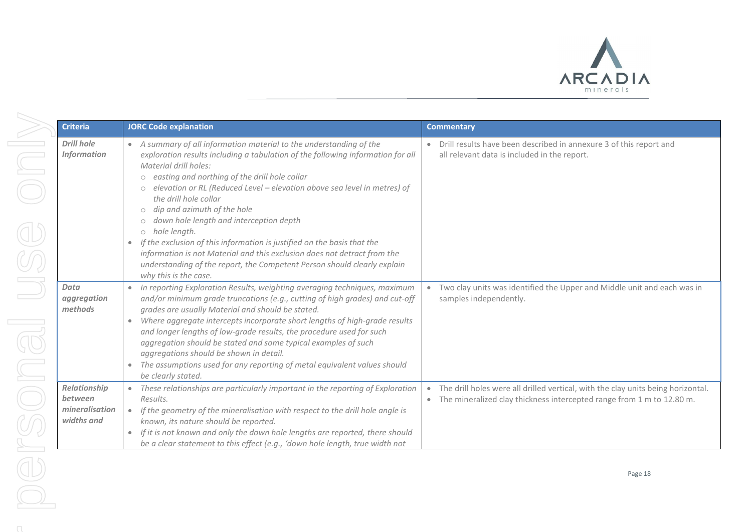

|                                                         | <b>JORC Code explanation</b>                                                                                                                                                                                                                                                                                                                                                                                                                                                                                                                                                                                                                                                                                                          | <b>Commentary</b>                                                                                                                                                        |
|---------------------------------------------------------|---------------------------------------------------------------------------------------------------------------------------------------------------------------------------------------------------------------------------------------------------------------------------------------------------------------------------------------------------------------------------------------------------------------------------------------------------------------------------------------------------------------------------------------------------------------------------------------------------------------------------------------------------------------------------------------------------------------------------------------|--------------------------------------------------------------------------------------------------------------------------------------------------------------------------|
| Drill hole<br><b>Information</b>                        | • A summary of all information material to the understanding of the<br>exploration results including a tabulation of the following information for all<br>Material drill holes:<br>o easting and northing of the drill hole collar<br>elevation or RL (Reduced Level - elevation above sea level in metres) of<br>the drill hole collar<br>o dip and azimuth of the hole<br>down hole length and interception depth<br>$\circlearrowright$<br>o hole length.<br>If the exclusion of this information is justified on the basis that the<br>$\bullet$<br>information is not Material and this exclusion does not detract from the<br>understanding of the report, the Competent Person should clearly explain<br>why this is the case. | • Drill results have been described in annexure 3 of this report and<br>all relevant data is included in the report.                                                     |
| Data<br>aggregation<br>methods                          | • In reporting Exploration Results, weighting averaging techniques, maximum<br>and/or minimum grade truncations (e.g., cutting of high grades) and cut-off<br>grades are usually Material and should be stated.<br>Where aggregate intercepts incorporate short lengths of high-grade results<br>$\bullet$<br>and longer lengths of low-grade results, the procedure used for such<br>aggregation should be stated and some typical examples of such<br>aggregations should be shown in detail.<br>The assumptions used for any reporting of metal equivalent values should<br>$\bullet$<br>be clearly stated.                                                                                                                        | $\bullet$<br>Two clay units was identified the Upper and Middle unit and each was in<br>samples independently.                                                           |
| Relationship<br>between<br>mineralisation<br>widths and | These relationships are particularly important in the reporting of Exploration<br>$\bullet$<br>Results.<br>If the geometry of the mineralisation with respect to the drill hole angle is<br>$\bullet$<br>known, its nature should be reported.<br>• If it is not known and only the down hole lengths are reported, there should<br>be a clear statement to this effect (e.g., 'down hole length, true width not                                                                                                                                                                                                                                                                                                                      | The drill holes were all drilled vertical, with the clay units being horizontal.<br>$\bullet$<br>• The mineralized clay thickness intercepted range from 1 m to 12.80 m. |
|                                                         |                                                                                                                                                                                                                                                                                                                                                                                                                                                                                                                                                                                                                                                                                                                                       | Page 18                                                                                                                                                                  |